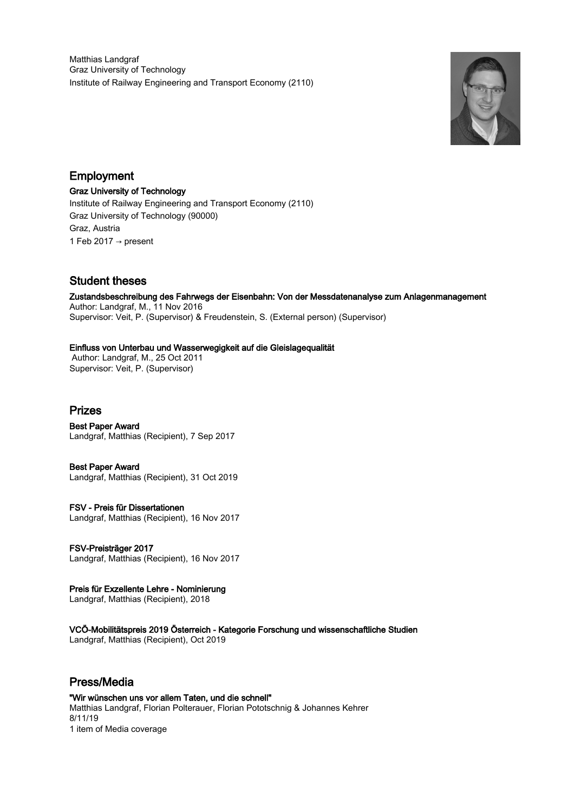Matthias Landgraf Graz University of Technology Institute of Railway Engineering and Transport Economy (2110)



# **Employment**

## Graz University of Technology

Institute of Railway Engineering and Transport Economy (2110) Graz University of Technology (90000) Graz, Austria 1 Feb 2017  $\rightarrow$  present

# Student theses

## Zustandsbeschreibung des Fahrwegs der Eisenbahn: Von der Messdatenanalyse zum Anlagenmanagement

Author: Landgraf, M., 11 Nov 2016 Supervisor: Veit, P. (Supervisor) & Freudenstein, S. (External person) (Supervisor)

## Einfluss von Unterbau und Wasserwegigkeit auf die Gleislagequalität

 Author: Landgraf, M., 25 Oct 2011 Supervisor: Veit, P. (Supervisor)

# Prizes

Best Paper Award Landgraf, Matthias (Recipient), 7 Sep 2017

Best Paper Award Landgraf, Matthias (Recipient), 31 Oct 2019

FSV - Preis für Dissertationen Landgraf, Matthias (Recipient), 16 Nov 2017

FSV-Preisträger 2017 Landgraf, Matthias (Recipient), 16 Nov 2017

Preis für Exzellente Lehre - Nominierung Landgraf, Matthias (Recipient), 2018

VCÖ-Mobilitätspreis 2019 Österreich - Kategorie Forschung und wissenschaftliche Studien Landgraf, Matthias (Recipient), Oct 2019

# Press/Media

"Wir wünschen uns vor allem Taten, und die schnell" Matthias Landgraf, Florian Polterauer, Florian Pototschnig & Johannes Kehrer 8/11/19 1 item of Media coverage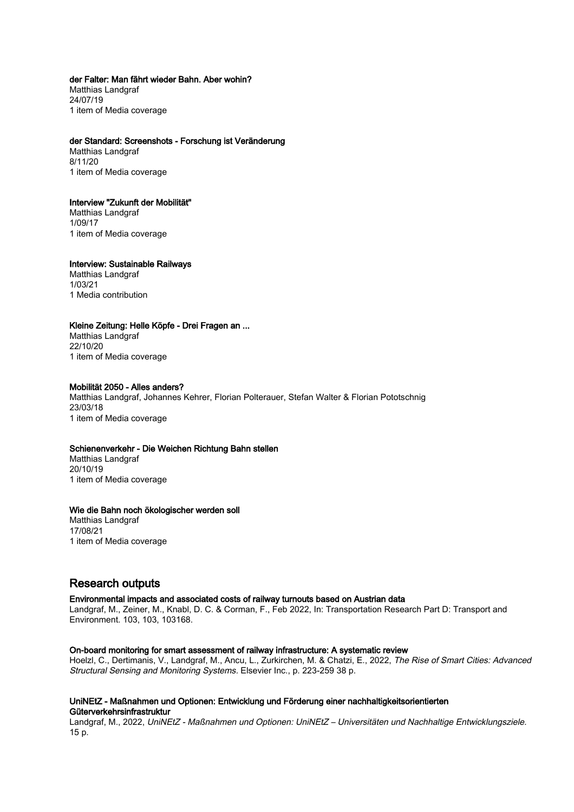#### der Falter: Man fährt wieder Bahn. Aber wohin?

Matthias Landgraf 24/07/19 1 item of Media coverage

#### der Standard: Screenshots - Forschung ist Veränderung

Matthias Landgraf 8/11/20 1 item of Media coverage

#### Interview "Zukunft der Mobilität"

Matthias Landgraf 1/09/17 1 item of Media coverage

#### Interview: Sustainable Railways

Matthias Landgraf 1/03/21 1 Media contribution

#### Kleine Zeitung: Helle Köpfe - Drei Fragen an ...

Matthias Landgraf 22/10/20 1 item of Media coverage

#### Mobilität 2050 - Alles anders?

Matthias Landgraf, Johannes Kehrer, Florian Polterauer, Stefan Walter & Florian Pototschnig 23/03/18 1 item of Media coverage

#### Schienenverkehr - Die Weichen Richtung Bahn stellen

Matthias Landgraf 20/10/19 1 item of Media coverage

#### Wie die Bahn noch ökologischer werden soll

Matthias Landgraf 17/08/21 1 item of Media coverage

# Research outputs

## Environmental impacts and associated costs of railway turnouts based on Austrian data

Landgraf, M., Zeiner, M., Knabl, D. C. & Corman, F., Feb 2022, In: Transportation Research Part D: Transport and Environment. 103, 103, 103168.

#### On-board monitoring for smart assessment of railway infrastructure: A systematic review

Hoelzl, C., Dertimanis, V., Landgraf, M., Ancu, L., Zurkirchen, M. & Chatzi, E., 2022, The Rise of Smart Cities: Advanced Structural Sensing and Monitoring Systems. Elsevier Inc., p. 223-259 38 p.

## UniNEtZ - Maßnahmen und Optionen: Entwicklung und Förderung einer nachhaltigkeitsorientierten Güterverkehrsinfrastruktur

Landgraf, M., 2022, UniNEtZ - Maßnahmen und Optionen: UniNEtZ – Universitäten und Nachhaltige Entwicklungsziele. 15 p.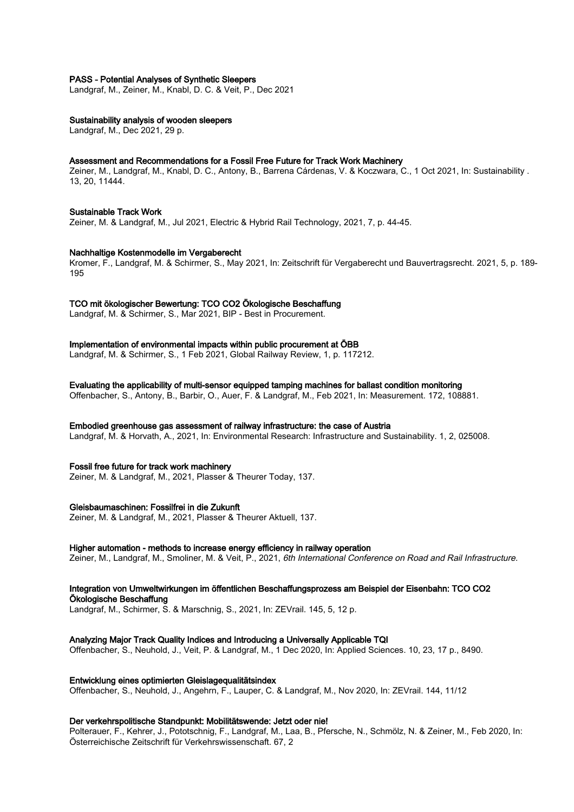#### PASS - Potential Analyses of Synthetic Sleepers

Landgraf, M., Zeiner, M., Knabl, D. C. & Veit, P., Dec 2021

## Sustainability analysis of wooden sleepers

Landgraf, M., Dec 2021, 29 p.

#### Assessment and Recommendations for a Fossil Free Future for Track Work Machinery

Zeiner, M., Landgraf, M., Knabl, D. C., Antony, B., Barrena Cárdenas, V. & Koczwara, C., 1 Oct 2021, In: Sustainability . 13, 20, 11444.

#### Sustainable Track Work

Zeiner, M. & Landgraf, M., Jul 2021, Electric & Hybrid Rail Technology, 2021, 7, p. 44-45.

#### Nachhaltige Kostenmodelle im Vergaberecht

Kromer, F., Landgraf, M. & Schirmer, S., May 2021, In: Zeitschrift für Vergaberecht und Bauvertragsrecht. 2021, 5, p. 189- 195

#### TCO mit ökologischer Bewertung: TCO CO2 Ökologische Beschaffung

Landgraf, M. & Schirmer, S., Mar 2021, BIP - Best in Procurement.

#### Implementation of environmental impacts within public procurement at ÖBB

Landgraf, M. & Schirmer, S., 1 Feb 2021, Global Railway Review, 1, p. 117212.

Evaluating the applicability of multi-sensor equipped tamping machines for ballast condition monitoring

Offenbacher, S., Antony, B., Barbir, O., Auer, F. & Landgraf, M., Feb 2021, In: Measurement. 172, 108881.

#### Embodied greenhouse gas assessment of railway infrastructure: the case of Austria

Landgraf, M. & Horvath, A., 2021, In: Environmental Research: Infrastructure and Sustainability. 1, 2, 025008.

#### Fossil free future for track work machinery

Zeiner, M. & Landgraf, M., 2021, Plasser & Theurer Today, 137.

#### Gleisbaumaschinen: Fossilfrei in die Zukunft

Zeiner, M. & Landgraf, M., 2021, Plasser & Theurer Aktuell, 137.

#### Higher automation - methods to increase energy efficiency in railway operation

Zeiner, M., Landgraf, M., Smoliner, M. & Veit, P., 2021, 6th International Conference on Road and Rail Infrastructure.

## Integration von Umweltwirkungen im öffentlichen Beschaffungsprozess am Beispiel der Eisenbahn: TCO CO2 Ökologische Beschaffung

Landgraf, M., Schirmer, S. & Marschnig, S., 2021, In: ZEVrail. 145, 5, 12 p.

## Analyzing Major Track Quality Indices and Introducing a Universally Applicable TQI

Offenbacher, S., Neuhold, J., Veit, P. & Landgraf, M., 1 Dec 2020, In: Applied Sciences. 10, 23, 17 p., 8490.

#### Entwicklung eines optimierten Gleislagequalitätsindex

Offenbacher, S., Neuhold, J., Angehrn, F., Lauper, C. & Landgraf, M., Nov 2020, In: ZEVrail. 144, 11/12

#### Der verkehrspolitische Standpunkt: Mobilitätswende: Jetzt oder nie!

Polterauer, F., Kehrer, J., Pototschnig, F., Landgraf, M., Laa, B., Pfersche, N., Schmölz, N. & Zeiner, M., Feb 2020, In: Österreichische Zeitschrift für Verkehrswissenschaft. 67, 2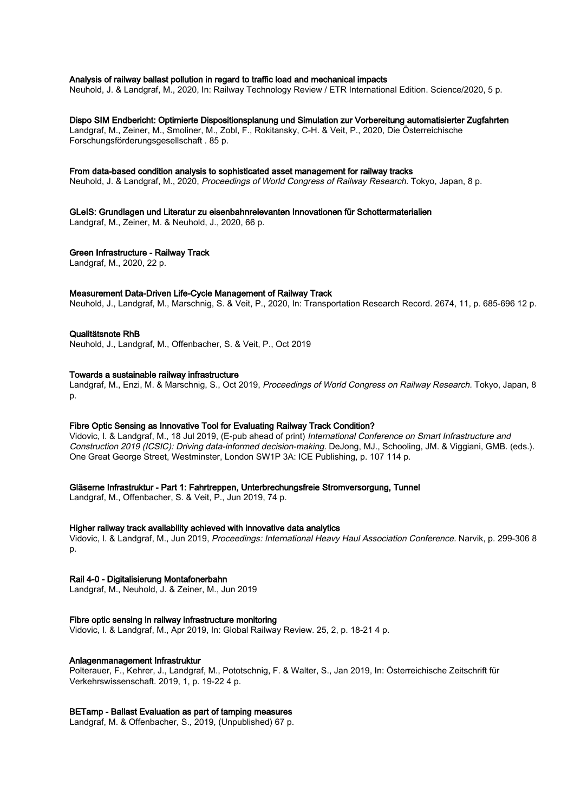#### Analysis of railway ballast pollution in regard to traffic load and mechanical impacts

Neuhold, J. & Landgraf, M., 2020, In: Railway Technology Review / ETR International Edition. Science/2020, 5 p.

#### Dispo SIM Endbericht: Optimierte Dispositionsplanung und Simulation zur Vorbereitung automatisierter Zugfahrten

Landgraf, M., Zeiner, M., Smoliner, M., Zobl, F., Rokitansky, C-H. & Veit, P., 2020, Die Österreichische Forschungsförderungsgesellschaft . 85 p.

#### From data-based condition analysis to sophisticated asset management for railway tracks

Neuhold, J. & Landgraf, M., 2020, Proceedings of World Congress of Railway Research. Tokyo, Japan, 8 p.

#### GLeIS: Grundlagen und Literatur zu eisenbahnrelevanten Innovationen für Schottermaterialien

Landgraf, M., Zeiner, M. & Neuhold, J., 2020, 66 p.

#### Green Infrastructure - Railway Track

Landgraf, M., 2020, 22 p.

#### Measurement Data-Driven Life-Cycle Management of Railway Track

Neuhold, J., Landgraf, M., Marschnig, S. & Veit, P., 2020, In: Transportation Research Record. 2674, 11, p. 685-696 12 p.

#### Qualitätsnote RhB

Neuhold, J., Landgraf, M., Offenbacher, S. & Veit, P., Oct 2019

## Towards a sustainable railway infrastructure

Landgraf, M., Enzi, M. & Marschnig, S., Oct 2019, Proceedings of World Congress on Railway Research. Tokyo, Japan, 8 p.

#### Fibre Optic Sensing as Innovative Tool for Evaluating Railway Track Condition?

Vidovic, I. & Landgraf, M., 18 Jul 2019, (E-pub ahead of print) International Conference on Smart Infrastructure and Construction 2019 (ICSIC): Driving data-informed decision-making. DeJong, MJ., Schooling, JM. & Viggiani, GMB. (eds.). One Great George Street, Westminster, London SW1P 3A: ICE Publishing, p. 107 114 p.

#### Gläserne Infrastruktur - Part 1: Fahrtreppen, Unterbrechungsfreie Stromversorgung, Tunnel

Landgraf, M., Offenbacher, S. & Veit, P., Jun 2019, 74 p.

#### Higher railway track availability achieved with innovative data analytics

Vidovic, I. & Landgraf, M., Jun 2019, Proceedings: International Heavy Haul Association Conference. Narvik, p. 299-306 8 p.

#### Rail 4-0 - Digitalisierung Montafonerbahn

Landgraf, M., Neuhold, J. & Zeiner, M., Jun 2019

#### Fibre optic sensing in railway infrastructure monitoring

Vidovic, I. & Landgraf, M., Apr 2019, In: Global Railway Review. 25, 2, p. 18-21 4 p.

## Anlagenmanagement Infrastruktur

Polterauer, F., Kehrer, J., Landgraf, M., Pototschnig, F. & Walter, S., Jan 2019, In: Österreichische Zeitschrift für Verkehrswissenschaft. 2019, 1, p. 19-22 4 p.

#### BETamp - Ballast Evaluation as part of tamping measures

Landgraf, M. & Offenbacher, S., 2019, (Unpublished) 67 p.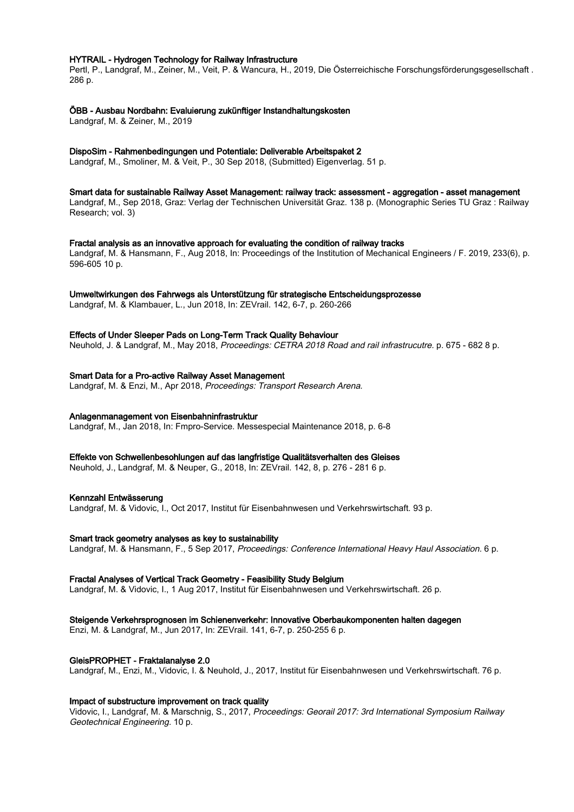#### HYTRAIL - Hydrogen Technology for Railway Infrastructure

Pertl, P., Landgraf, M., Zeiner, M., Veit, P. & Wancura, H., 2019, Die Österreichische Forschungsförderungsgesellschaft . 286 p.

#### ÖBB - Ausbau Nordbahn: Evaluierung zukünftiger Instandhaltungskosten

Landgraf, M. & Zeiner, M., 2019

### DispoSim - Rahmenbedingungen und Potentiale: Deliverable Arbeitspaket 2

Landgraf, M., Smoliner, M. & Veit, P., 30 Sep 2018, (Submitted) Eigenverlag. 51 p.

#### Smart data for sustainable Railway Asset Management: railway track: assessment - aggregation - asset management

Landgraf, M., Sep 2018, Graz: Verlag der Technischen Universität Graz. 138 p. (Monographic Series TU Graz : Railway Research; vol. 3)

#### Fractal analysis as an innovative approach for evaluating the condition of railway tracks Landgraf, M. & Hansmann, F., Aug 2018, In: Proceedings of the Institution of Mechanical Engineers / F. 2019, 233(6), p. 596-605 10 p.

## Umweltwirkungen des Fahrwegs als Unterstützung für strategische Entscheidungsprozesse

Landgraf, M. & Klambauer, L., Jun 2018, In: ZEVrail. 142, 6-7, p. 260-266

## Effects of Under Sleeper Pads on Long-Term Track Quality Behaviour

Neuhold, J. & Landgraf, M., May 2018, Proceedings: CETRA 2018 Road and rail infrastrucutre. p. 675 - 682 8 p.

#### Smart Data for a Pro-active Railway Asset Management

Landgraf, M. & Enzi, M., Apr 2018, Proceedings: Transport Research Arena.

#### Anlagenmanagement von Eisenbahninfrastruktur

Landgraf, M., Jan 2018, In: Fmpro-Service. Messespecial Maintenance 2018, p. 6-8

#### Effekte von Schwellenbesohlungen auf das langfristige Qualitätsverhalten des Gleises

Neuhold, J., Landgraf, M. & Neuper, G., 2018, In: ZEVrail. 142, 8, p. 276 - 281 6 p.

#### Kennzahl Entwässerung

Landgraf, M. & Vidovic, I., Oct 2017, Institut für Eisenbahnwesen und Verkehrswirtschaft. 93 p.

#### Smart track geometry analyses as key to sustainability

Landgraf, M. & Hansmann, F., 5 Sep 2017, Proceedings: Conference International Heavy Haul Association. 6 p.

#### Fractal Analyses of Vertical Track Geometry - Feasibility Study Belgium

Landgraf, M. & Vidovic, I., 1 Aug 2017, Institut für Eisenbahnwesen und Verkehrswirtschaft. 26 p.

#### Steigende Verkehrsprognosen im Schienenverkehr: Innovative Oberbaukomponenten halten dagegen

Enzi, M. & Landgraf, M., Jun 2017, In: ZEVrail. 141, 6-7, p. 250-255 6 p.

#### GleisPROPHET - Fraktalanalyse 2.0

Landgraf, M., Enzi, M., Vidovic, I. & Neuhold, J., 2017, Institut für Eisenbahnwesen und Verkehrswirtschaft. 76 p.

## Impact of substructure improvement on track quality

Vidovic, I., Landgraf, M. & Marschnig, S., 2017, Proceedings: Georail 2017: 3rd International Symposium Railway Geotechnical Engineering. 10 p.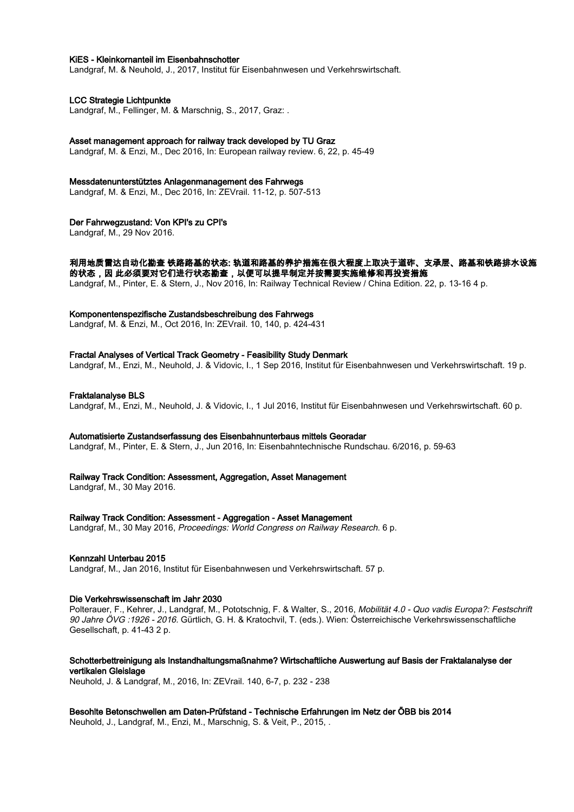## KiES - Kleinkornanteil im Eisenbahnschotter

Landgraf, M. & Neuhold, J., 2017, Institut für Eisenbahnwesen und Verkehrswirtschaft.

#### LCC Strategie Lichtpunkte

Landgraf, M., Fellinger, M. & Marschnig, S., 2017, Graz: .

#### Asset management approach for railway track developed by TU Graz

Landgraf, M. & Enzi, M., Dec 2016, In: European railway review. 6, 22, p. 45-49

#### Messdatenunterstütztes Anlagenmanagement des Fahrwegs

Landgraf, M. & Enzi, M., Dec 2016, In: ZEVrail. 11-12, p. 507-513

#### Der Fahrwegzustand: Von KPI's zu CPI's

Landgraf, M., 29 Nov 2016.

#### 利用地质雷达自动化勘查 铁路路基的状态: 轨道和路基的养护措施在很大程度上取决于道砟、支承层、路基和铁路排水设施

的状态,因 此必须要对它们进行状态勘查,以便可以提早制定并按需要实施维修和再投资措施

Landgraf, M., Pinter, E. & Stern, J., Nov 2016, In: Railway Technical Review / China Edition. 22, p. 13-16 4 p.

#### Komponentenspezifische Zustandsbeschreibung des Fahrwegs

Landgraf, M. & Enzi, M., Oct 2016, In: ZEVrail. 10, 140, p. 424-431

#### Fractal Analyses of Vertical Track Geometry - Feasibility Study Denmark

Landgraf, M., Enzi, M., Neuhold, J. & Vidovic, I., 1 Sep 2016, Institut für Eisenbahnwesen und Verkehrswirtschaft. 19 p.

#### Fraktalanalyse BLS

Landgraf, M., Enzi, M., Neuhold, J. & Vidovic, I., 1 Jul 2016, Institut für Eisenbahnwesen und Verkehrswirtschaft. 60 p.

#### Automatisierte Zustandserfassung des Eisenbahnunterbaus mittels Georadar

Landgraf, M., Pinter, E. & Stern, J., Jun 2016, In: Eisenbahntechnische Rundschau. 6/2016, p. 59-63

#### Railway Track Condition: Assessment, Aggregation, Asset Management

Landgraf, M., 30 May 2016.

#### Railway Track Condition: Assessment - Aggregation - Asset Management

Landgraf, M., 30 May 2016, Proceedings: World Congress on Railway Research. 6 p.

#### Kennzahl Unterbau 2015

Landgraf, M., Jan 2016, Institut für Eisenbahnwesen und Verkehrswirtschaft. 57 p.

#### Die Verkehrswissenschaft im Jahr 2030

Polterauer, F., Kehrer, J., Landgraf, M., Pototschnig, F. & Walter, S., 2016, Mobilität 4.0 - Quo vadis Europa?: Festschrift 90 Jahre ÖVG :1926 - 2016. Gürtlich, G. H. & Kratochvil, T. (eds.). Wien: Österreichische Verkehrswissenschaftliche Gesellschaft, p. 41-43 2 p.

## Schotterbettreinigung als Instandhaltungsmaßnahme? Wirtschaftliche Auswertung auf Basis der Fraktalanalyse der vertikalen Gleislage

Neuhold, J. & Landgraf, M., 2016, In: ZEVrail. 140, 6-7, p. 232 - 238

## Besohlte Betonschwellen am Daten-Prüfstand - Technische Erfahrungen im Netz der ÖBB bis 2014

Neuhold, J., Landgraf, M., Enzi, M., Marschnig, S. & Veit, P., 2015, .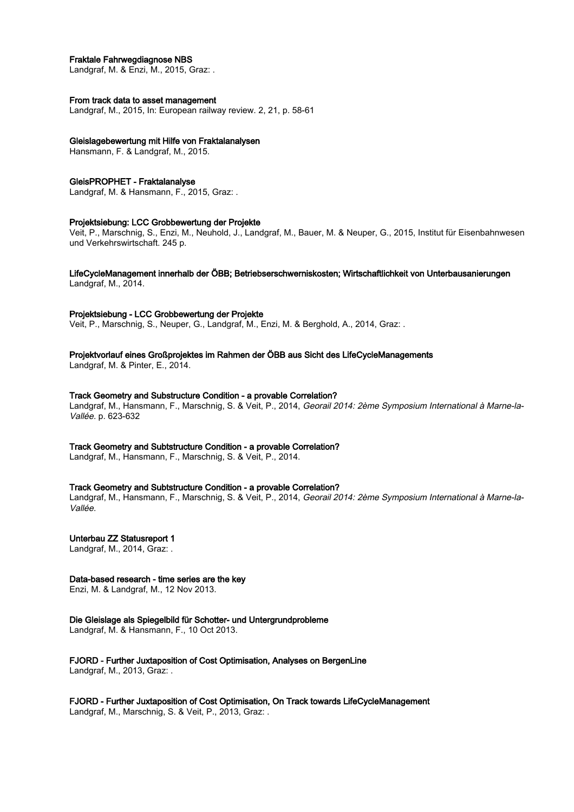#### Fraktale Fahrwegdiagnose NBS

Landgraf, M. & Enzi, M., 2015, Graz: .

#### From track data to asset management

Landgraf, M., 2015, In: European railway review. 2, 21, p. 58-61

### Gleislagebewertung mit Hilfe von Fraktalanalysen

Hansmann, F. & Landgraf, M., 2015.

## GleisPROPHET - Fraktalanalyse

Landgraf, M. & Hansmann, F., 2015, Graz: .

#### Projektsiebung: LCC Grobbewertung der Projekte

Veit, P., Marschnig, S., Enzi, M., Neuhold, J., Landgraf, M., Bauer, M. & Neuper, G., 2015, Institut für Eisenbahnwesen und Verkehrswirtschaft. 245 p.

# LifeCycleManagement innerhalb der ÖBB; Betriebserschwerniskosten; Wirtschaftlichkeit von Unterbausanierungen

Landgraf, M., 2014.

#### Projektsiebung - LCC Grobbewertung der Projekte

Veit, P., Marschnig, S., Neuper, G., Landgraf, M., Enzi, M. & Berghold, A., 2014, Graz: .

## Projektvorlauf eines Großprojektes im Rahmen der ÖBB aus Sicht des LifeCycleManagements

Landgraf, M. & Pinter, E., 2014.

### Track Geometry and Substructure Condition - a provable Correlation?

Landgraf, M., Hansmann, F., Marschnig, S. & Veit, P., 2014, Georail 2014: 2ème Symposium International à Marne-la-Vallée. p. 623-632

#### Track Geometry and Subtstructure Condition - a provable Correlation?

Landgraf, M., Hansmann, F., Marschnig, S. & Veit, P., 2014.

#### Track Geometry and Subtstructure Condition - a provable Correlation?

Landgraf, M., Hansmann, F., Marschnig, S. & Veit, P., 2014, Georail 2014: 2ème Symposium International à Marne-la-Vallée.

## Unterbau ZZ Statusreport 1

Landgraf, M., 2014, Graz: .

## Data-based research - time series are the key

Enzi, M. & Landgraf, M., 12 Nov 2013.

## Die Gleislage als Spiegelbild für Schotter- und Untergrundprobleme

Landgraf, M. & Hansmann, F., 10 Oct 2013.

FJORD - Further Juxtaposition of Cost Optimisation, Analyses on BergenLine

Landgraf, M., 2013, Graz: .

#### FJORD - Further Juxtaposition of Cost Optimisation, On Track towards LifeCycleManagement Landgraf, M., Marschnig, S. & Veit, P., 2013, Graz: .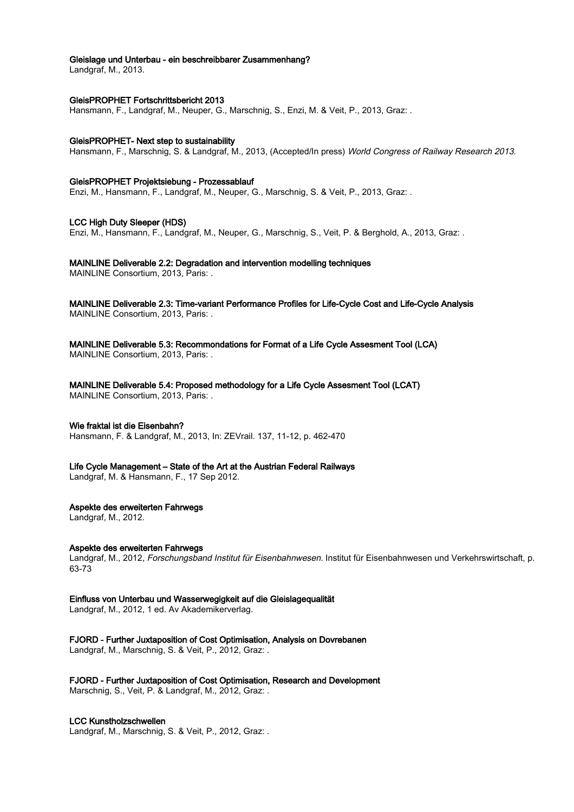#### Gleislage und Unterbau - ein beschreibbarer Zusammenhang?

Landgraf, M., 2013.

#### GleisPROPHET Fortschrittsbericht 2013

Hansmann, F., Landgraf, M., Neuper, G., Marschnig, S., Enzi, M. & Veit, P., 2013, Graz: .

#### GleisPROPHET- Next step to sustainability

Hansmann, F., Marschnig, S. & Landgraf, M., 2013, (Accepted/In press) World Congress of Railway Research 2013.

#### GleisPROPHET Projektsiebung - Prozessablauf

Enzi, M., Hansmann, F., Landgraf, M., Neuper, G., Marschnig, S. & Veit, P., 2013, Graz: .

#### LCC High Duty Sleeper (HDS)

Enzi, M., Hansmann, F., Landgraf, M., Neuper, G., Marschnig, S., Veit, P. & Berghold, A., 2013, Graz: .

## MAINLINE Deliverable 2.2: Degradation and intervention modelling techniques

MAINLINE Consortium, 2013, Paris: .

MAINLINE Deliverable 2.3: Time-variant Performance Profiles for Life-Cycle Cost and Life-Cycle Analysis MAINLINE Consortium, 2013, Paris: .

MAINLINE Deliverable 5.3: Recommondations for Format of a Life Cycle Assesment Tool (LCA) MAINLINE Consortium, 2013, Paris: .

MAINLINE Deliverable 5.4: Proposed methodology for a Life Cycle Assesment Tool (LCAT) MAINLINE Consortium, 2013, Paris: .

#### Wie fraktal ist die Eisenbahn?

Hansmann, F. & Landgraf, M., 2013, In: ZEVrail. 137, 11-12, p. 462-470

Life Cycle Management – State of the Art at the Austrian Federal Railways

Landgraf, M. & Hansmann, F., 17 Sep 2012.

#### Aspekte des erweiterten Fahrwegs

Landgraf, M., 2012.

#### Aspekte des erweiterten Fahrwegs

Landgraf, M., 2012, Forschungsband Institut für Eisenbahnwesen. Institut für Eisenbahnwesen und Verkehrswirtschaft, p. 63-73

## Einfluss von Unterbau und Wasserwegigkeit auf die Gleislagequalität

Landgraf, M., 2012, 1 ed. Av Akademikerverlag.

FJORD - Further Juxtaposition of Cost Optimisation, Analysis on Dovrebanen

Landgraf, M., Marschnig, S. & Veit, P., 2012, Graz: .

FJORD - Further Juxtaposition of Cost Optimisation, Research and Development

Marschnig, S., Veit, P. & Landgraf, M., 2012, Graz: .

#### LCC Kunstholzschwellen

Landgraf, M., Marschnig, S. & Veit, P., 2012, Graz: .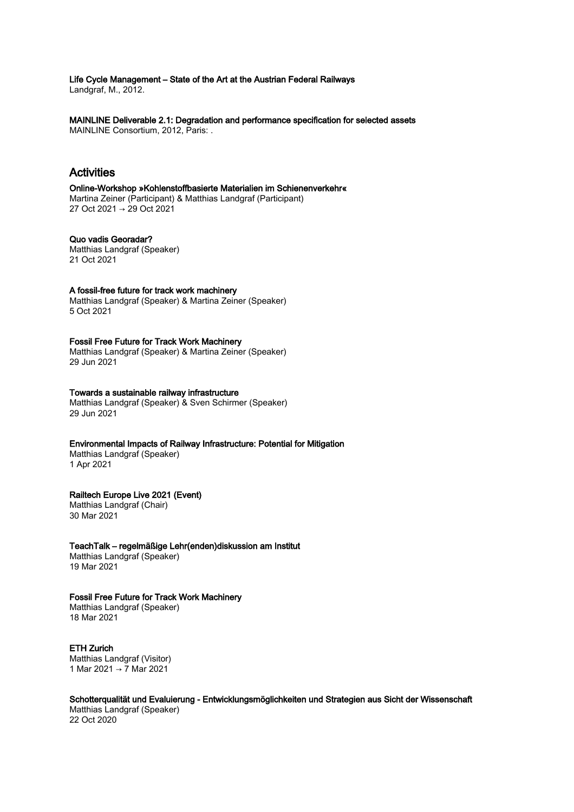Life Cycle Management – State of the Art at the Austrian Federal Railways Landgraf, M., 2012.

MAINLINE Deliverable 2.1: Degradation and performance specification for selected assets MAINLINE Consortium, 2012, Paris: .

# Activities

Online-Workshop »Kohlenstoffbasierte Materialien im Schienenverkehr« Martina Zeiner (Participant) & Matthias Landgraf (Participant) 27 Oct 2021 → 29 Oct 2021

Quo vadis Georadar? Matthias Landgraf (Speaker) 21 Oct 2021

A fossil-free future for track work machinery Matthias Landgraf (Speaker) & Martina Zeiner (Speaker) 5 Oct 2021

#### Fossil Free Future for Track Work Machinery Matthias Landgraf (Speaker) & Martina Zeiner (Speaker) 29 Jun 2021

#### Towards a sustainable railway infrastructure

Matthias Landgraf (Speaker) & Sven Schirmer (Speaker) 29 Jun 2021

## Environmental Impacts of Railway Infrastructure: Potential for Mitigation

Matthias Landgraf (Speaker) 1 Apr 2021

## Railtech Europe Live 2021 (Event)

Matthias Landgraf (Chair) 30 Mar 2021

## TeachTalk – regelmäßige Lehr(enden)diskussion am Institut

Matthias Landgraf (Speaker) 19 Mar 2021

## Fossil Free Future for Track Work Machinery

Matthias Landgraf (Speaker) 18 Mar 2021

ETH Zurich Matthias Landgraf (Visitor)

1 Mar 2021 → 7 Mar 2021

## Schotterqualität und Evaluierung - Entwicklungsmöglichkeiten und Strategien aus Sicht der Wissenschaft

Matthias Landgraf (Speaker) 22 Oct 2020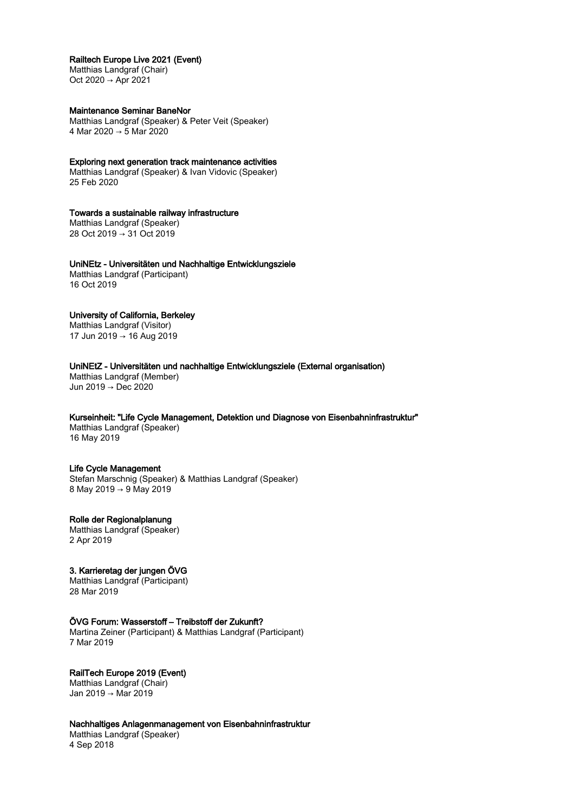## Railtech Europe Live 2021 (Event)

Matthias Landgraf (Chair) Oct 2020  $\rightarrow$  Apr 2021

#### Maintenance Seminar BaneNor

Matthias Landgraf (Speaker) & Peter Veit (Speaker) 4 Mar 2020 → 5 Mar 2020

Exploring next generation track maintenance activities

Matthias Landgraf (Speaker) & Ivan Vidovic (Speaker) 25 Feb 2020

#### Towards a sustainable railway infrastructure

Matthias Landgraf (Speaker) 28 Oct 2019 → 31 Oct 2019

UniNEtz - Universitäten und Nachhaltige Entwicklungsziele Matthias Landgraf (Participant) 16 Oct 2019

#### University of California, Berkeley

Matthias Landgraf (Visitor) 17 Jun 2019 → 16 Aug 2019

UniNEtZ - Universitäten und nachhaltige Entwicklungsziele (External organisation) Matthias Landgraf (Member) Jun 2019 → Dec 2020

Kurseinheit: "Life Cycle Management, Detektion und Diagnose von Eisenbahninfrastruktur" Matthias Landgraf (Speaker) 16 May 2019

#### Life Cycle Management

Stefan Marschnig (Speaker) & Matthias Landgraf (Speaker) 8 May 2019 → 9 May 2019

#### Rolle der Regionalplanung

Matthias Landgraf (Speaker) 2 Apr 2019

3. Karrieretag der jungen ÖVG

Matthias Landgraf (Participant) 28 Mar 2019

#### ÖVG Forum: Wasserstoff – Treibstoff der Zukunft?

Martina Zeiner (Participant) & Matthias Landgraf (Participant) 7 Mar 2019

## RailTech Europe 2019 (Event)

Matthias Landgraf (Chair) Jan 2019 → Mar 2019

## Nachhaltiges Anlagenmanagement von Eisenbahninfrastruktur

Matthias Landgraf (Speaker) 4 Sep 2018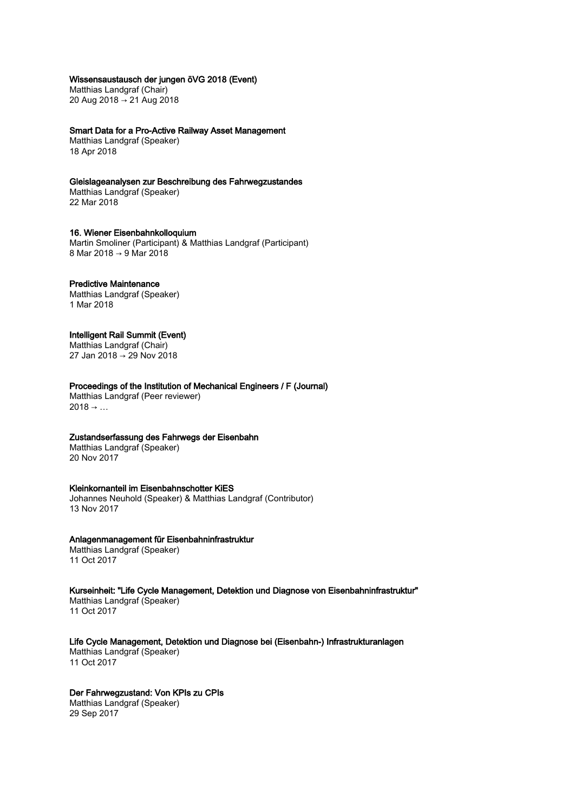Wissensaustausch der jungen öVG 2018 (Event)

Matthias Landgraf (Chair) 20 Aug 2018 → 21 Aug 2018

Smart Data for a Pro-Active Railway Asset Management Matthias Landgraf (Speaker) 18 Apr 2018

Gleislageanalysen zur Beschreibung des Fahrwegzustandes Matthias Landgraf (Speaker)

16. Wiener Eisenbahnkolloquium Martin Smoliner (Participant) & Matthias Landgraf (Participant) 8 Mar 2018 → 9 Mar 2018

## Predictive Maintenance

22 Mar 2018

Matthias Landgraf (Speaker) 1 Mar 2018

## Intelligent Rail Summit (Event)

Matthias Landgraf (Chair) 27 Jan 2018 → 29 Nov 2018

Proceedings of the Institution of Mechanical Engineers / F (Journal)

Matthias Landgraf (Peer reviewer)  $2018 \rightarrow ...$ 

## Zustandserfassung des Fahrwegs der Eisenbahn

Matthias Landgraf (Speaker) 20 Nov 2017

## Kleinkornanteil im Eisenbahnschotter KiES

Johannes Neuhold (Speaker) & Matthias Landgraf (Contributor) 13 Nov 2017

#### Anlagenmanagement für Eisenbahninfrastruktur

Matthias Landgraf (Speaker) 11 Oct 2017

Kurseinheit: "Life Cycle Management, Detektion und Diagnose von Eisenbahninfrastruktur" Matthias Landgraf (Speaker)

11 Oct 2017

Life Cycle Management, Detektion und Diagnose bei (Eisenbahn-) Infrastrukturanlagen Matthias Landgraf (Speaker) 11 Oct 2017

Der Fahrwegzustand: Von KPIs zu CPIs

Matthias Landgraf (Speaker) 29 Sep 2017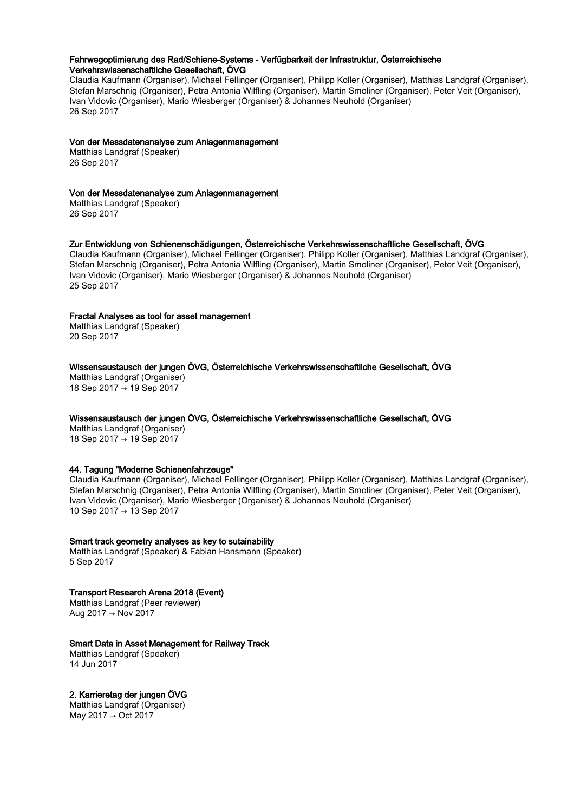## Fahrwegoptimierung des Rad/Schiene-Systems - Verfügbarkeit der Infrastruktur, Österreichische Verkehrswissenschaftliche Gesellschaft, ÖVG

Claudia Kaufmann (Organiser), Michael Fellinger (Organiser), Philipp Koller (Organiser), Matthias Landgraf (Organiser), Stefan Marschnig (Organiser), Petra Antonia Wilfling (Organiser), Martin Smoliner (Organiser), Peter Veit (Organiser), Ivan Vidovic (Organiser), Mario Wiesberger (Organiser) & Johannes Neuhold (Organiser) 26 Sep 2017

## Von der Messdatenanalyse zum Anlagenmanagement

Matthias Landgraf (Speaker) 26 Sep 2017

## Von der Messdatenanalyse zum Anlagenmanagement

Matthias Landgraf (Speaker) 26 Sep 2017

## Zur Entwicklung von Schienenschädigungen, Österreichische Verkehrswissenschaftliche Gesellschaft, ÖVG

Claudia Kaufmann (Organiser), Michael Fellinger (Organiser), Philipp Koller (Organiser), Matthias Landgraf (Organiser), Stefan Marschnig (Organiser), Petra Antonia Wilfling (Organiser), Martin Smoliner (Organiser), Peter Veit (Organiser), Ivan Vidovic (Organiser), Mario Wiesberger (Organiser) & Johannes Neuhold (Organiser) 25 Sep 2017

## Fractal Analyses as tool for asset management

Matthias Landgraf (Speaker) 20 Sep 2017

## Wissensaustausch der jungen ÖVG, Österreichische Verkehrswissenschaftliche Gesellschaft, ÖVG

Matthias Landgraf (Organiser) 18 Sep 2017 → 19 Sep 2017

## Wissensaustausch der jungen ÖVG, Österreichische Verkehrswissenschaftliche Gesellschaft, ÖVG

Matthias Landgraf (Organiser) 18 Sep 2017 → 19 Sep 2017

## 44. Tagung "Moderne Schienenfahrzeuge"

Claudia Kaufmann (Organiser), Michael Fellinger (Organiser), Philipp Koller (Organiser), Matthias Landgraf (Organiser), Stefan Marschnig (Organiser), Petra Antonia Wilfling (Organiser), Martin Smoliner (Organiser), Peter Veit (Organiser), Ivan Vidovic (Organiser), Mario Wiesberger (Organiser) & Johannes Neuhold (Organiser) 10 Sep 2017 → 13 Sep 2017

## Smart track geometry analyses as key to sutainability

Matthias Landgraf (Speaker) & Fabian Hansmann (Speaker) 5 Sep 2017

## Transport Research Arena 2018 (Event)

Matthias Landgraf (Peer reviewer) Aug 2017 → Nov 2017

## Smart Data in Asset Management for Railway Track

Matthias Landgraf (Speaker) 14 Jun 2017

## 2. Karrieretag der jungen ÖVG

Matthias Landgraf (Organiser) May 2017 → Oct 2017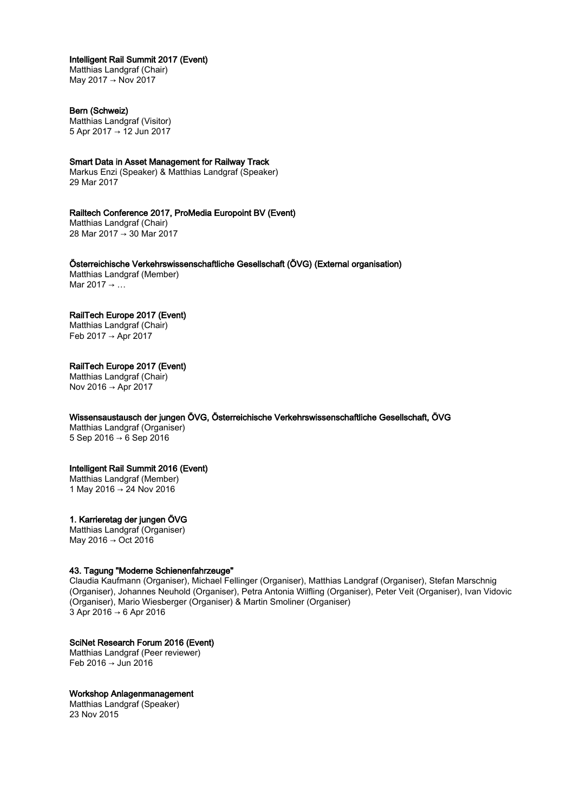#### Intelligent Rail Summit 2017 (Event)

Matthias Landgraf (Chair) May 2017 → Nov 2017

#### Bern (Schweiz)

Matthias Landgraf (Visitor) 5 Apr 2017 → 12 Jun 2017

#### Smart Data in Asset Management for Railway Track

Markus Enzi (Speaker) & Matthias Landgraf (Speaker) 29 Mar 2017

## Railtech Conference 2017, ProMedia Europoint BV (Event)

Matthias Landgraf (Chair) 28 Mar 2017 → 30 Mar 2017

#### Österreichische Verkehrswissenschaftliche Gesellschaft (ÖVG) (External organisation)

Matthias Landgraf (Member) Mar 2017 → …

## RailTech Europe 2017 (Event)

Matthias Landgraf (Chair) Feb 2017 → Apr 2017

## RailTech Europe 2017 (Event)

Matthias Landgraf (Chair) Nov 2016 → Apr 2017

## Wissensaustausch der jungen ÖVG, Österreichische Verkehrswissenschaftliche Gesellschaft, ÖVG

Matthias Landgraf (Organiser) 5 Sep 2016 → 6 Sep 2016

## Intelligent Rail Summit 2016 (Event)

Matthias Landgraf (Member) 1 May 2016 → 24 Nov 2016

## 1. Karrieretag der jungen ÖVG

Matthias Landgraf (Organiser) May 2016  $\rightarrow$  Oct 2016

## 43. Tagung "Moderne Schienenfahrzeuge"

Claudia Kaufmann (Organiser), Michael Fellinger (Organiser), Matthias Landgraf (Organiser), Stefan Marschnig (Organiser), Johannes Neuhold (Organiser), Petra Antonia Wilfling (Organiser), Peter Veit (Organiser), Ivan Vidovic (Organiser), Mario Wiesberger (Organiser) & Martin Smoliner (Organiser) 3 Apr 2016 → 6 Apr 2016

## SciNet Research Forum 2016 (Event)

Matthias Landgraf (Peer reviewer) Feb 2016 → Jun 2016

#### Workshop Anlagenmanagement

Matthias Landgraf (Speaker) 23 Nov 2015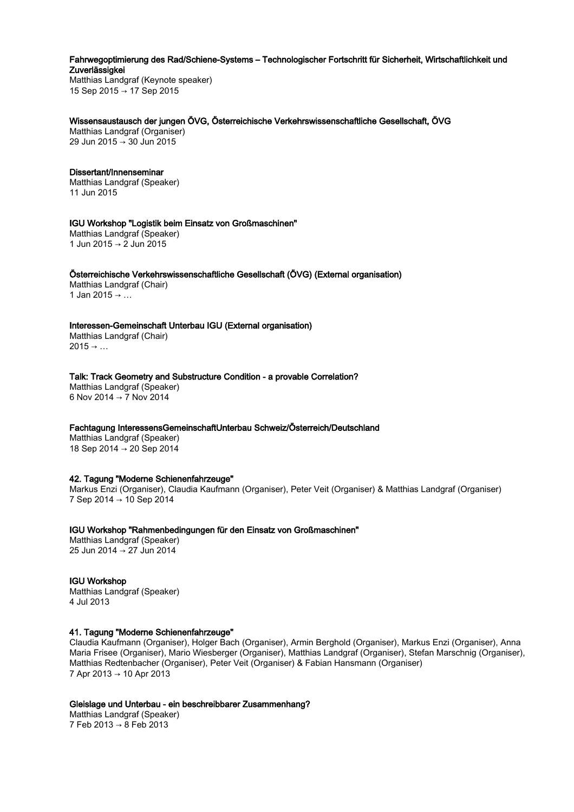Fahrwegoptimierung des Rad/Schiene-Systems – Technologischer Fortschritt für Sicherheit, Wirtschaftlichkeit und Zuverlässigkei

Matthias Landgraf (Keynote speaker) 15 Sep 2015 → 17 Sep 2015

Wissensaustausch der jungen ÖVG, Österreichische Verkehrswissenschaftliche Gesellschaft, ÖVG

Matthias Landgraf (Organiser) 29 Jun 2015 → 30 Jun 2015

## Dissertant/Innenseminar

Matthias Landgraf (Speaker) 11 Jun 2015

## IGU Workshop "Logistik beim Einsatz von Großmaschinen"

Matthias Landgraf (Speaker) 1 Jun 2015 →  $2$  Jun 2015

## Österreichische Verkehrswissenschaftliche Gesellschaft (ÖVG) (External organisation)

Matthias Landgraf (Chair) 1 Jan 2015 → …

## Interessen-Gemeinschaft Unterbau IGU (External organisation)

Matthias Landgraf (Chair)  $2015 \rightarrow ...$ 

## Talk: Track Geometry and Substructure Condition - a provable Correlation?

Matthias Landgraf (Speaker) 6 Nov 2014 → 7 Nov 2014

Fachtagung InteressensGemeinschaftUnterbau Schweiz/Österreich/Deutschland

Matthias Landgraf (Speaker) 18 Sep 2014 → 20 Sep 2014

## 42. Tagung "Moderne Schienenfahrzeuge"

Markus Enzi (Organiser), Claudia Kaufmann (Organiser), Peter Veit (Organiser) & Matthias Landgraf (Organiser) 7 Sep 2014 → 10 Sep 2014

# IGU Workshop "Rahmenbedingungen für den Einsatz von Großmaschinen" Matthias Landgraf (Speaker)

25 Jun 2014 → 27 Jun 2014

## IGU Workshop

Matthias Landgraf (Speaker) 4 Jul 2013

## 41. Tagung "Moderne Schienenfahrzeuge"

Claudia Kaufmann (Organiser), Holger Bach (Organiser), Armin Berghold (Organiser), Markus Enzi (Organiser), Anna Maria Frisee (Organiser), Mario Wiesberger (Organiser), Matthias Landgraf (Organiser), Stefan Marschnig (Organiser), Matthias Redtenbacher (Organiser), Peter Veit (Organiser) & Fabian Hansmann (Organiser) 7 Apr 2013 → 10 Apr 2013

## Gleislage und Unterbau - ein beschreibbarer Zusammenhang?

Matthias Landgraf (Speaker) 7 Feb 2013 → 8 Feb 2013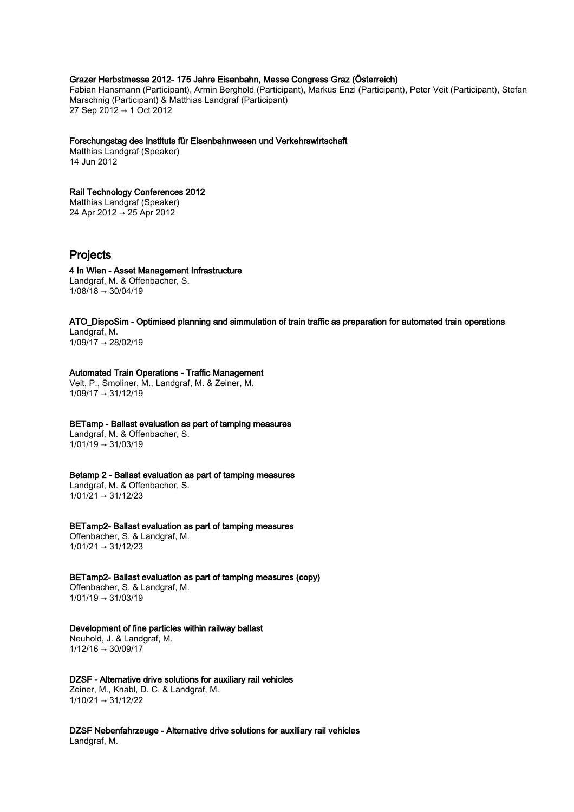## Grazer Herbstmesse 2012- 175 Jahre Eisenbahn, Messe Congress Graz (Österreich)

Fabian Hansmann (Participant), Armin Berghold (Participant), Markus Enzi (Participant), Peter Veit (Participant), Stefan Marschnig (Participant) & Matthias Landgraf (Participant) 27 Sep 2012 → 1 Oct 2012

#### Forschungstag des Instituts für Eisenbahnwesen und Verkehrswirtschaft

Matthias Landgraf (Speaker) 14 Jun 2012

## Rail Technology Conferences 2012

Matthias Landgraf (Speaker) 24 Apr 2012 → 25 Apr 2012

# Projects

## 4 In Wien - Asset Management Infrastructure

Landgraf, M. & Offenbacher, S.  $1/08/18 \rightarrow 30/04/19$ 

ATO\_DispoSim - Optimised planning and simmulation of train traffic as preparation for automated train operations Landgraf, M.

1/09/17 → 28/02/19

## Automated Train Operations - Traffic Management

Veit, P., Smoliner, M., Landgraf, M. & Zeiner, M.  $1/09/17 \rightarrow 31/12/19$ 

#### BETamp - Ballast evaluation as part of tamping measures

Landgraf, M. & Offenbacher, S.  $1/01/19 \rightarrow 31/03/19$ 

#### Betamp 2 - Ballast evaluation as part of tamping measures

Landgraf, M. & Offenbacher, S.  $1/01/21 \rightarrow 31/12/23$ 

## BETamp2- Ballast evaluation as part of tamping measures

Offenbacher, S. & Landgraf, M.  $1/01/21 \rightarrow 31/12/23$ 

#### BETamp2- Ballast evaluation as part of tamping measures (copy) Offenbacher, S. & Landgraf, M.

 $1/01/19 \rightarrow 31/03/19$ 

## Development of fine particles within railway ballast

Neuhold, J. & Landgraf, M.  $1/12/16 \rightarrow 30/09/17$ 

DZSF - Alternative drive solutions for auxiliary rail vehicles Zeiner, M., Knabl, D. C. & Landgraf, M. 1/10/21 → 31/12/22

DZSF Nebenfahrzeuge - Alternative drive solutions for auxiliary rail vehicles Landgraf, M.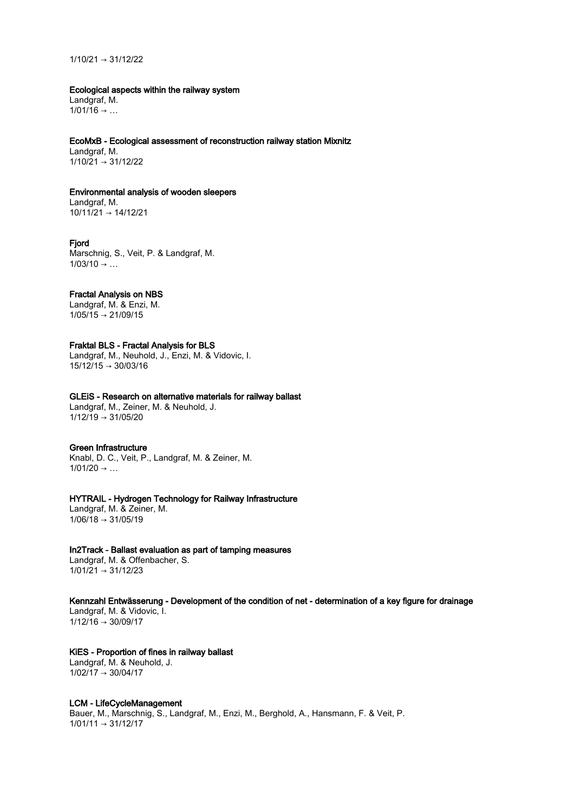$1/10/21 \rightarrow 31/12/22$ 

#### Ecological aspects within the railway system

Landgraf, M.  $1/01/16 \rightarrow ...$ 

#### EcoMxB - Ecological assessment of reconstruction railway station Mixnitz Landgraf, M.  $1/10/21 \rightarrow 31/12/22$

# Environmental analysis of wooden sleepers

Landgraf, M.  $10/11/21 \rightarrow 14/12/21$ 

## Fjord

Marschnig, S., Veit, P. & Landgraf, M.  $1/03/10 \rightarrow ...$ 

## Fractal Analysis on NBS

Landgraf, M. & Enzi, M.  $1/05/15 \rightarrow 21/09/15$ 

#### Fraktal BLS - Fractal Analysis for BLS

Landgraf, M., Neuhold, J., Enzi, M. & Vidovic, I.  $15/12/15 \rightarrow 30/03/16$ 

## GLEiS - Research on alternative materials for railway ballast

Landgraf, M., Zeiner, M. & Neuhold, J.  $1/12/19 \rightarrow 31/05/20$ 

## Green Infrastructure

Knabl, D. C., Veit, P., Landgraf, M. & Zeiner, M.  $1/01/20 \rightarrow ...$ 

#### HYTRAIL - Hydrogen Technology for Railway Infrastructure

Landgraf, M. & Zeiner, M. 1/06/18 → 31/05/19

#### In2Track - Ballast evaluation as part of tamping measures

Landgraf, M. & Offenbacher, S.  $1/01/21 \rightarrow 31/12/23$ 

# Kennzahl Entwässerung - Development of the condition of net - determination of a key figure for drainage

Landgraf, M. & Vidovic, I.  $1/12/16 \rightarrow 30/09/17$ 

## KiES - Proportion of fines in railway ballast

Landgraf, M. & Neuhold, J.  $1/02/17 \rightarrow 30/04/17$ 

#### LCM - LifeCycleManagement

Bauer, M., Marschnig, S., Landgraf, M., Enzi, M., Berghold, A., Hansmann, F. & Veit, P.  $1/01/11 \rightarrow 31/12/17$